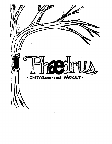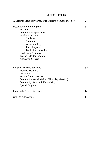# Table of Contents

| A Letter to Prospective Phaedrus Students from the Directors | 2        |
|--------------------------------------------------------------|----------|
| Description of the Program                                   | $3 - 7$  |
| <b>Mission</b>                                               |          |
| <b>Community Expectations</b>                                |          |
| Academic Program                                             |          |
| <b>Students</b>                                              |          |
| Structure                                                    |          |
| Academic Rigor                                               |          |
| <b>Final Projects</b>                                        |          |
| <b>Evaluation Procedures</b>                                 |          |
| <b>Leadership Positions</b>                                  |          |
| <b>Teacher-Mentor Program</b>                                |          |
| <b>Admission Criteria</b>                                    |          |
| Phaedrus Weekly Schedule                                     | $8 - 11$ |
| <b>Monday Meetings</b>                                       |          |
| Internships                                                  |          |
| <b>Wednesday Experience</b>                                  |          |
| <b>Communication Workshop (Thursday Meeting)</b>             |          |
| Community Service & Fundraising                              |          |
| <b>Special Programs</b>                                      |          |
| <b>Frequently Asked Questions</b>                            | 12       |
| College Admissions                                           | 13       |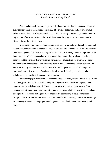#### A LETTER FROM THE DIRECTORS Pam Raines and Cory Karpf

Ph*ae*drus is a small, supportive, personalized community where students are helped to grow as individuals to their greatest potential. The process of learning in Ph*ae*drus always includes an emphasis on affective as well as cognitive learning. To succeed, a student requires a high degree of self-motivation, and most students enter the program to become more selfdirected, inwardly motivated learners.

In the thirty-plus years we have been in existence, we have shown through research and student comments that our students feel very positive about this type of school environment and their learning here. The key to our program is choice and is probably the most important factor in our success. When students choose to do something voluntarily, they become active, not passive, and the center of their own learning experience. Students in our program are fully responsible for their education and *choose* to learn in order to reach their fullest potential. In Ph*ae*drus, faculty members serve as facilitators for all that goes on, as well as being more traditional academic resources. Teachers and students work interdependently and take collaborative responsibility for successful outcomes**.** 

Ph*ae*drus engages its members in choosing areas of interest, contributing to the class and programs, performing self-evaluation, and providing constructive feedback to peers. The opportunities provided are myriad. There is opportunity for service, opportunity to discover personal strengths and interests, opportunity to develop closer relationships with peers and adults through a more informal setting and most importantly, opportunity to develop more selfdiscipline due to responsibilities outside of class and scheduled meetings. Ph*ae*drus encourages its students graduate from the program with a greater sense of self, inward motivation, and purpose.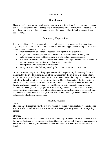### PH*AE*DRUS

### Our Mission

Ph*ae*drus seeks to create a dynamic and supportive setting in which a diverse group of students can succeed as learners and as participants in a democratic school community. Ph*ae*drus has a shared commitment to helping all students reach their personal best in both an academic and social setting.

## Community Expectations

It is expected that all Ph*ae*drus participants— students, teachers, parents and/ or guardians, psychologists and administrators alike—adhere to the following guidelines during all Ph*ae*drus experiences, discussions and classes:

- Each member will be an active, respectful participant in the experience
- If a problem or challenge arises, each person will be committed to listening and understanding the issue and then helping to create and implement solutions
- We are all responsible for each other's learning and growth; to this end, each person will provide constructive, meaningful feedback when appropriate
- Participants will be honest in all interactions
- Each person will take full responsibility for his/ her own actions or inactions

Students who are accepted into this program take on full responsibility for not only their own learning, but the growth and experience of the participants in the program as a whole. Active and honest participation by each member is vital to the success of the program. If students do not follow through with their responsibilities, they will be held accountable for their action or inactions. Consequences can include but are not limited to: individual discussions with the faculty teachers or student supervisors responsible for the activity, negative performance evaluations, meetings with the people and Pam and Cory, meetings with the Ph*ae*drus team, parent meetings, probation, or removal from the program. At the beginning of the school year, all students and their parents and/ or guardians will be required to sign a code of conduct in adherence to all rules and expectations.

#### Academic Program

#### *Students*

Ph*ae*drus enrolls approximately twenty-five juniors & seniors. These students represent a wide span of academic abilities and interests, as well as a heterogeneous grouping of the larger high school.

#### *Structure*

Ph*ae*drus occupies half of a student's academic school day. Students fulfill their science, math, foreign language and elective requirements in Edgemont High School. Students' participation in Ph*ae*drus fulfills their English and social studies requirements. All courses are a semester in length.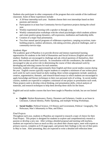Students also participate in other components of the program that exist outside of the traditional classroom. Some of these experiences include:

- A 50-hour internship each year. Students choose their own internships based on their passions and interest.
- Participation in at least four Community Service Experience projects during the school year.
- Weekly experiential learning with a speaker or through a trip.
- Weekly communication workshops with the school psychologist which students achieve and create positive group dynamics, self-expression, meditation and leadership skills.
- Creation of a major final presentation.
- Two-four annual special programs of wilderness experience, camping excursions, teambuilding projects, outdoor adventures, risk-taking activities, physical challenges, and/ or community-service trips.

#### *Academic Rigor*

The academic goal of Ph*ae*drus is to provide diverse and intense experiential learning opportunities for students in the field of Humanities and Social Sciences (English and social studies). Students are encouraged to challenge and ask critical questions of themselves, their peers, their teachers and their curricula. In consultation with the coordinators, the students are encouraged to take an active role in determining the course of their educational work by developing and selecting courses for each semester.

Generally, students will take approximately three English and three social studies courses during the year. English courses typically require students to complete a minimum of one written piece each week for each course based on daily reading; these written assignments include: analytical, creative, argumentative, thematic, and research-based essays in which students are encouraged to apply knowledge and literary techniques to their own personal style of writing. In social studies courses, students are expected to complete a minimum of one project or presentation each week. These projects seek to develop critical thinking, oral presentation skills, critical analysis of materials, and research techniques to help them develop these skills for the future.

English and social studies courses that have been taught in Ph*ae*drus include, but are not limited to:

- **English**: Harlem Renaissance, Poetry, Dreamers and Schemers, Gender as an Issue in Literature, Cultural Identity, Public Speaking, and multiple Writing Workshops.
- **Social Studies**: Political Science, US History and Government, Political Geography, The Holocaust, Man's Inhumanity to Man, and Ethics.

### *Final Projects*

Throughout each year, students in Ph*ae*drus are required to research a topic of choice for their Final Project. This project is designed for students to explore and comprehensively research a passion or develop a new one. After writing a detailed proposal and meeting with teachers, students are expected to learn as much as they can about their chosen topics, meet with experts as primary sources, complete an 8-10 page paper, and present their findings to the rest of their peers in May or June. After presenting, they are expected to write a detailed self-reflection letter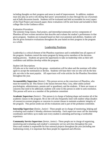including thoughts on their progress and areas in need of improvement. In addition, students must also play an active role during their peers' presentations in class through the use of journals and eChalk discussion boards. Students will be evaluated and held accountable for every aspect of the Final Project and research paper; these evaluations will be sent home and included in their college files in the Guidance office.

#### *Evaluation Procedures*

The semester-long classes, final project, and internship/community service components of Ph*ae*drus all have written narratives that describe and evaluate the student's performance in that given program. Students are evaluated based on their own potential and abilities. Students will also be given formative evaluations throughout the year based on their progress in the program as a whole.

## Leadership Positions

Leadership is a critical element of the Phaedrus experience and is embedded into all aspects of the program. Students control the entire program by being active members of the decisionmaking process. Students are given the opportunity to take on leadership roles as their selfconfidence and abilities develop within the program.

#### *Student Job Descriptions*

All jobs are to be voted on by the group—nominations will be taken and the nominee will either agree to accept the nomination or decline. Students will base their vote on who will do the best job, not who is the most popular. All supervisors will write articles for the Ph*ae*drus Newsletter throughout the year.

**Accountability Supervisor** *(Senior)* - This person serves as the conscience of Ph*ae*drus, who must be trusted by all. This Senior is the liaison between Pam, Cory, other adults (school psychologists, administrators, parents and/ or guardians), and the students. If there are issues or concerns that need to be addressed, students will come to this person in order to seek resolution. This person will serve as a member of the probation committee

**Academic Supervisor** *(Senior) -* This person is in charge of helping shape and monitor all of the academic classes in the program. He or she will also frequently meet with student whips (leaders of courses) to oversee progress or concerns in current classes to maintain academic integrity of the program. This person sends out all the evaluations and is part of the probation committee.

**Internship Supervisor** *(Senior, Junior) -* These people are in charge of monitoring, helping and evaluating each student's Monday afternoon internship. Each supervisor must call the internship coordinator and follow up to make sure every student is attending and having a worthwhile experience.

**Community Service Supervisor** *(Senior, Junior) -* These people are in charge of organizing, monitoring and evaluating each student's community service activities throughout the year. Since each student is responsible for four outreach projects throughout the year (including one fundraising event), it is important that these people be organized and efficient.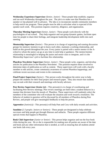**Wednesday Experience Supervisor** *(Senior, Junior) -* These people help establish, organize and run each Wednesday throughout the year. The job is to make sure that Ph*ae*drus has a speaker or trip planned well in advance. The idea is to incorporate outside community members to help enrich our program. These people must be able to articulate what is expected of the speaker each week. This position requires creativity, diligence, and organization.

**Thursday Meeting Supervisor** (*Senior, Junior*) - These people work directly with the psychologists of our school. They help organize and run group dynamic games, facilitate open time for people to share their feelings, and integrate leadership development skills into each meeting.

**Mentorship Supervisor** (*Senior*) - This person is in charge of organizing and running discussion groups for mentors/ mentees to get to know each other, maintain a working relationship, and build on this growth throughout the year. Every junior is paired with a senior mentor in the Aschool to whom the junior can go at any time to seek help or guidance. The mentor/mentee relationship is meaningful in helping the junior and senior class to integrate, and it is the Mentorship Supervisor's job to facilitate this relationship.

**Ph***ae***drus Newsletter Supervisor** (*Senior, Junior)* - These people write, organize, and develop articles for publication in the Ph*ae*drus Newsletter. This position requires those involved to determine dates of publication as well as content. These supervisors will work with a faculty member to edit articles, create community awareness of current Ph*ae*drus happenings, and celebrate recent successes and events in the community.

**Final Project Supervisor** (*Senior*) - This person works throughout the entire year to help prepare the students for their final project and research paper. They also ensure that students stay on-task with their research and meetings with faculty advisors.

**Peer Review Supervisor (***Senior (s)*) – This person(s) is in charge of coordinating and facilitating Peer Review meetings. Peer review meetings are held when a student behaves in a manner that deviates from the morals of Ph*ae*drus. These supervisors will randomly select the members of the committee who will evaluate the situation and work toward a resolution. The behavior of student in question will be discussed by all members of Ph*ae*drus during Peer Review, and people will give meaningful feedbacks to help the person.

**Apprentice** (*Junior(s)) -* This person(s) will help Pam and Cory with daily errands and activities.

**Sunshine** (*2-3 people; Juniors or Seniors*) - These people are designated to help celebrate successes and help people get through illnesses and setbacks. These people organize different special events that happen in Ph*ae*drus.

**Book Club Supervisor** (*Junior or Senior*) - This person helps organize and run the four book clubs during the year. He or she is responsible for making sure all parties are aware of the date and book and any other information that is needed, as well as ensuring that all students attend one book club every year.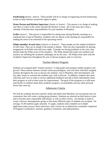**Fundraising** (*Senior, Junior)* - These people will be in charge of organizing several fundraising events to help charities around the region or globe.

**Water Person and Kitchen Supervisor** *(Junior or Senior)* – This person is in charge of making sure there is water in the cooler and that the kitchen is clean. He or she must also create a calendar of kitchen duty responsibilities for each member of Ph*ae*drus.

**Scribe** (*Junior*) – This person is responsible for taking notes during Monday meetings in a notebook that is kept in *Ph*ae*drus*. Students who are absent at the meeting are responsible for reading the notes to be informed of the upcoming events.

**Whips (member of each class**) *(Juniors or Seniors)* – These people are the student facilitators of each class. They are in charge if the teacher is absent. They are also responsible for placing assignments on Echalk each and every night. If people are having problems in the class, they should make the Whip aware of the situation. The Whip should also make sure students and teachers are fulfilling the academic challenges set by the class. All Whips must meet with the Academic Supervisor throughout the year to discuss progress and/ or concerns.

## Teacher-Mentor Program

Students are assigned adult "teacher-mentors" to help guide and maintain student progress and growth. These teacher-mentors include school psychologists, who will meet with their assigned mentees throughout the year to discuss the students' role in Ph*ae*drus, their development, and any other issues or concerns the students may wish to discuss. In addition, students also meet with Pam and Cory in order to receive additional feedback and talk to them individually about their progress as well as their areas for improvement. The goal of this program is to talk more specifically to students about their academic progress, accountability and any other personal issues that come up.

#### Admission Criteria

We look for students that have specific needs and talents that Ph*ae*drus can incorporate into our community that will create a strong group dynamic. Students are selected on their desire to join and to become more responsible individuals, as well as other criteria. An attempt is made to create a diverse, heterogeneous group so that many different types of students are accepted. On average, 35-40 students apply annually. To apply, students must complete an in-depth application (nine essays), three interviews, and a review by an admissions committee comprised of Program Coordinators, teachers, guidance counselors, and administrators.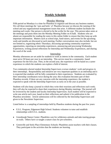## **Weekly Schedule**

### Monday Meeting

Fifth period on Mondays is a time for Ph*ae*drus to organize and discuss any business matters. We call these meetings the 'nuts and bolts' of Ph*ae*drus because we discuss the running of the school and any organizational management issues that arise. A different student facilitates the meeting each week. One person is elected to be the scribe for the year. This person takes notes at the meetings and posts them into the Monday Meeting Folder on eChalk. Students who are absent are responsible for reading the notes in this online folder to ensure that they keep up with important information. Matters such as school trips, fund-raisers, and events for the upcoming week and months are discussed at each meeting. Further conversations may also include, but are not limited to, organizing ethnic Thursdays, discussing upcoming community experience opportunities, reporting on internship experiences, announcing and processing Wednesday Experiences, writing journal reflections for Internship and Wednesday Experiences, and sharing the word of the week.

#### Internship

Monday afternoons are set aside for students to work as interns in the community. Each student must serve 50 hours per year in an internship. This service must be a community- based experience for the first year. Then, in the second year, the experience will be based on a career experience in which the students can explore a field of interest.

Two community-elected student Internship Supervisors oversee students' work and progress in their internships. Responsibility and initiative are very important qualities in an internship and it is expected that students will be fully committed to their experiences. Students are evaluated by their internship coordinators twice during the year; this evaluation becomes part of their Ph*ae*drus records. If there are any concerns with the internship experience, the student is expected to speak with the Internship Supervisors as early on in the year as possible.

Students will also keep a journal in which they write their reactions and reflections each week; they will also be expected to share their experiences during Monday meetings. The journal will be reviewed by the student and faculty Internship Supervisors. Each student will be expected to write one article each year, based on their reflections and submit it for publication in the Ph*ae*drus newsletter. Article submissions will be collected by the Internship Supervisors and given to the Newsletter Supervisor.

Listed below is a sampling of internships held by Phaedrus students during the past few years:

- E.S.L. Program, Edgemont High School: Students volunteer to tutor and establish relationships with E.S.L. students.
- Greenburgh Nature Center: Phaedrites care for wilderness animals and take touring groups on trails. Others have co-taught a nature class for pre-schoolers.
- Greenville and Seely Place Elementary Schools: Phaedrites assist teachers with their classes. They participate in the activities that the students are learning.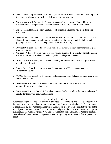- Beth Israel Nursing Home/Home for the Aged and Blind: Students interested in working with the elderly exchange views with people from another generation.
- Westchester Jewish Community Services: Students either help at the Palmer House, which is a home for the developmentally disabled, or visit with elderly people at their homes.
- New Rochelle Humane Society: Students work as aids or attendants helping to take care of the animals.
- Westchester County Medical Center: Phaedrites work in the Child Life Unit of the Medical Center, trying to make the children's visits to the hospital less traumatic by talking and playing with them. Others can help in the Senior Health Faculty.
- Blythdale Children's Hospital: Students work in the physical therapy department or help the disabled children.
- Children's Village: Students work as teacher's assistances in the elementary schools, helping the learning-disabled students in reading, spelling, and special projects.
- Heartsong Music Therapy: Students help mentally disabled children learn and grow by using the influence of music.
- Lord's Pantry: Phaedrites both cook and deliver food to AIDS patients throughout Westchester County.
- WFAS: Students learn about the business of broadcasting through hands-on experience in the actual radio station.
- Westchester Arts Council: Students write grant proposals to create more literary opportunities for students in the area.
- Westchester Business Journal & Scarsdale Inquirer: Students work hard to write and research articles for these well-known publications.

### Wednesday Experience

Wednesday Experience has been generally described as "learning outside of the classroom." On Wednesday afternoons, either a speaker comes to Ph*ae*drus, or a trip is planned. The afternoon is coordinated by the Wednesday Experience Supervisors, two students elected at the start of the school year. Learning outside the classroom is a vital part of the Ph*ae*drus experience. Trips are taken around the Westchester and New York Metropolitan area. Sometimes, Ph*ae*drus students themselves volunteer to conduct a presentation on a topic they are knowledgeable or passionate about.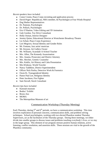#### *Recent speakers have included*:

- Conor Cronin, Peace Corps recruiting and application process
- David Pogee- Republican, NRA member, & Psychologist at Four Winds Hospital
- Dog Shelter Representatives
- Dr. Pantone, Psychologist
- Dr. Pollack, Psychologist
- Eric O'Hanlon, Video Editing and 3D Animation
- Gale Gordon, Toy Drive Consultant
- Holly Osman, Interior Designer
- Jeremy Quinn, Educational Director at Westchester Broadway Theatre
- Liz Schutt, Peace Corps Experience
- Lori Megown, Sexual Identity and Gender Roles
- Mr. Fontana, Jazz artist/musician
- Mr. Keyson, Art Gallery Owner
- Mr. Williams, Scarsdale A-School Teacher
- Mrs. Allen, The Kennedy Assassination
- Mrs. Anania, Prosecutor and District Attorney
- Mrs. Hercher, Genetic Counselor
- Mrs. Kuklis, Art History and Cuba Presentation
- Mrs.Winkour, World Traveler
- Nancy Taddiken, District Superintendent
- Officer Nick Parika, Detective Work & Forensics
- Owen B., Transgendered Identity
- Pastor Paul Lee, Religious Identity
- Peter Jacobson, Fire Fighter
- Sam Stovall, Stock Consultant

#### *Recent trips have included:*

- Katonah museum
- Bodies' Exhibit
- Bronx Zoo
- $\bullet$  MOMA
- The Metropolitan Museum of art

## Communication Workshop (Thursday Meeting)

Each Thursday, during  $5<sup>th</sup>$  and  $6<sup>th</sup>$  periods, we have a communication workshop. This time involves exploration of personal concerns, communication skills, and problem solving techniques. School psychologists, working with two elected Ph*ae*drus student Thursday Supervisors, act as the facilitators of the Thursday groups. During these meetings, we either divide into smaller groups to discuss issues and problems touching everybody's lives, or we stay in the larger group. This element of our program stresses positive human relations, active listening, conflict resolution, and assertion skills. These sessions are vital to the growth of the Ph*ae*drus community.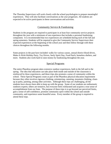The Thursday Supervisors will work closely with the school psychologists to prepare meaningful experiences. They will also facilitate conversations as the year progresses. All students are expected to be active participants in these conversations and activities.

## Community Service & Fundraising

Students in the program are required to participate in at least four community service projects throughout the year with a minimum of one experience that includes a personal fundraising component. It is recommended that two experiences are scheduled during each of the fall and spring semesters. Students will be required to give the Community Service Supervisors their expected experiences at the beginning of the school year and then follow through with these choices throughout the following months.

Some projects in the past have included: walks for various causes, annual district blood drives, Make-A-Wish Holiday Party, Toy Drives, Seely Spirit Day, Food Patch, homeless shelters, and more. Students also work hard to raise money by fundraising throughout the year.

## Special Programs

The entire Ph*ae*drus program takes extensive outdoor experiences, both in the fall and in the spring. The idea that education can take place both inside and outside of the classroom is reinforced by these experiences, and these trips also promote a sense of community within the school. These Special Programs count as part of the Ph*ae*drus physical education requirement because they often involves rigorous climbing, orienteering, canoeing, mountain climbing, cleanup at parks, painting, among other activities. Although these trips are challenging, all the students have always been able to keep up with the group. Some of our students are enthusiastic outdoors experts; others are tentative, but everyone feels exhilarated and acquires a true sense of accomplishment from our feats. The purpose of these trips is to go beyond our perceived limits, gain a sense of self-confidence, promote community spirit within the school and outside community, and experience some beautiful areas. Every member of the group is required to attend these trips.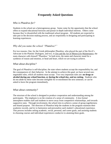## **Frequently Asked Questions**

#### *Who is Ph*ae*drus for?*

Students in the school are a heterogeneous group. Some come for the opportunity that the school offers to expand educational horizons and pursue in-depth individual interests. Others come because they're dissatisfied with the traditional school program. All students are expected to take part in the decision making process, and act responsibly in designing and participating in learning experiences.

#### *Why did you name the school "Ph*ae*drus?"*

For two reasons. One, for the Greek philosopher Ph*ae*drus, who played the part of the Devil's Advocate in the Platonic Dialogues, and two, in Zen and the Art of Motorcycle Maintenance, the main character calls himself "Ph*ae*drus." In both texts, the name and character stand for a synthesis of reason and emotion, or head and heart, which we are trying to achieve.

#### *What about discipline?*

The goal of *Ph*ae*drus* is self-discipline, the state where students accept the responsibility for, and the consequences of, their behavior. In the attempt to achieve this goal, we have several nonnegotiable rules, which all students must accept. Two very important rules are: **no drugs or alcohol during any school function, or during the school day, and no cutting.** Students who do not abide by these rules become ineligible for re-enrollment the next semester, or can be asked to leave the program immediately.

#### *What about community?*

The structure of the school is designed to produce cooperation and understanding among the participants. The emphasis is on the creation of a sense of community. A less formal atmosphere enables staff and students to move away from competitive relationships, and towards supportive ones. Through involvement, the school tries to achieve a sense of group togetherness and shared purpose. The directors of *Ph*ae*drus* help the students in the program maintain their academic records, and try to harmonize and personalize each student's educational experience. This process includes setting academic, social, personal, and career goals, and assisting students in choosing courses and individual experiences conducive to attaining these goals.